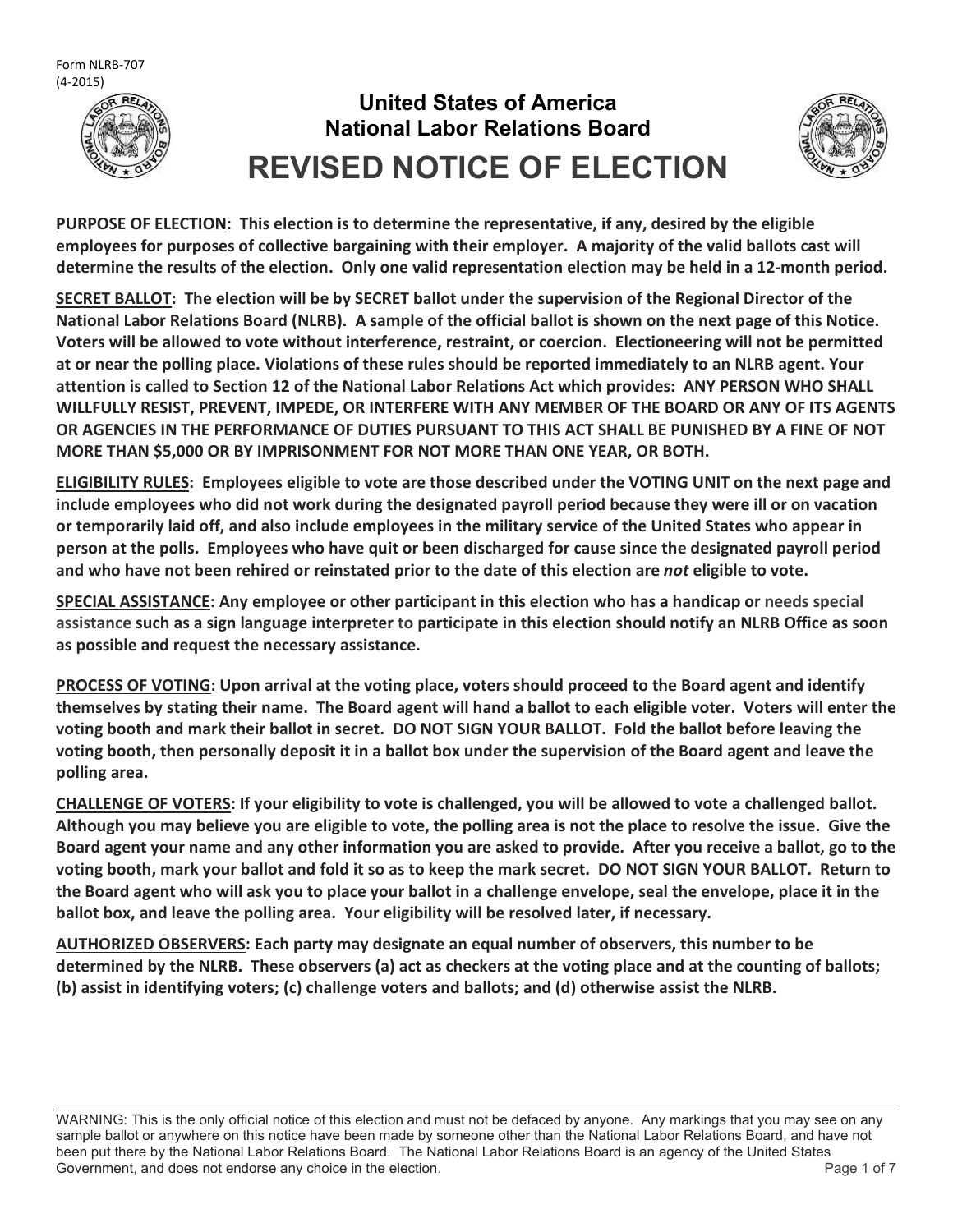

# **United States of America National Labor Relations Board REVISED NOTICE OF ELECTION**



**PURPOSE OF ELECTION: This election is to determine the representative, if any, desired by the eligible employees for purposes of collective bargaining with their employer. A majority of the valid ballots cast will determine the results of the election. Only one valid representation election may be held in a 12-month period.**

**SECRET BALLOT: The election will be by SECRET ballot under the supervision of the Regional Director of the National Labor Relations Board (NLRB). A sample of the official ballot is shown on the next page of this Notice. Voters will be allowed to vote without interference, restraint, or coercion. Electioneering will not be permitted at or near the polling place. Violations of these rules should be reported immediately to an NLRB agent. Your attention is called to Section 12 of the National Labor Relations Act which provides: ANY PERSON WHO SHALL WILLFULLY RESIST, PREVENT, IMPEDE, OR INTERFERE WITH ANY MEMBER OF THE BOARD OR ANY OF ITS AGENTS OR AGENCIES IN THE PERFORMANCE OF DUTIES PURSUANT TO THIS ACT SHALL BE PUNISHED BY A FINE OF NOT MORE THAN \$5,000 OR BY IMPRISONMENT FOR NOT MORE THAN ONE YEAR, OR BOTH.**

**ELIGIBILITY RULES: Employees eligible to vote are those described under the VOTING UNIT on the next page and include employees who did not work during the designated payroll period because they were ill or on vacation or temporarily laid off, and also include employees in the military service of the United States who appear in person at the polls. Employees who have quit or been discharged for cause since the designated payroll period and who have not been rehired or reinstated prior to the date of this election are** *not* **eligible to vote.**

**SPECIAL ASSISTANCE: Any employee or other participant in this election who has a handicap or needs special assistance such as a sign language interpreter to participate in this election should notify an NLRB Office as soon as possible and request the necessary assistance.**

**PROCESS OF VOTING: Upon arrival at the voting place, voters should proceed to the Board agent and identify themselves by stating their name. The Board agent will hand a ballot to each eligible voter. Voters will enter the voting booth and mark their ballot in secret. DO NOT SIGN YOUR BALLOT. Fold the ballot before leaving the voting booth, then personally deposit it in a ballot box under the supervision of the Board agent and leave the polling area.**

**CHALLENGE OF VOTERS: If your eligibility to vote is challenged, you will be allowed to vote a challenged ballot. Although you may believe you are eligible to vote, the polling area is not the place to resolve the issue. Give the Board agent your name and any other information you are asked to provide. After you receive a ballot, go to the voting booth, mark your ballot and fold it so as to keep the mark secret. DO NOT SIGN YOUR BALLOT. Return to the Board agent who will ask you to place your ballot in a challenge envelope, seal the envelope, place it in the ballot box, and leave the polling area. Your eligibility will be resolved later, if necessary.**

**AUTHORIZED OBSERVERS: Each party may designate an equal number of observers, this number to be determined by the NLRB. These observers (a) act as checkers at the voting place and at the counting of ballots; (b) assist in identifying voters; (c) challenge voters and ballots; and (d) otherwise assist the NLRB.**

WARNING: This is the only official notice of this election and must not be defaced by anyone. Any markings that you may see on any sample ballot or anywhere on this notice have been made by someone other than the National Labor Relations Board, and have not been put there by the National Labor Relations Board. The National Labor Relations Board is an agency of the United States Government, and does not endorse any choice in the election. The endorse and the state of 7 and 7 and 7 and 7 and 7 and 7 and 7 and 7 and 7 and 7 and 7 and 7 and 7 and 7 and 7 and 7 and 7 and 7 and 7 and 7 and 7 and 7 and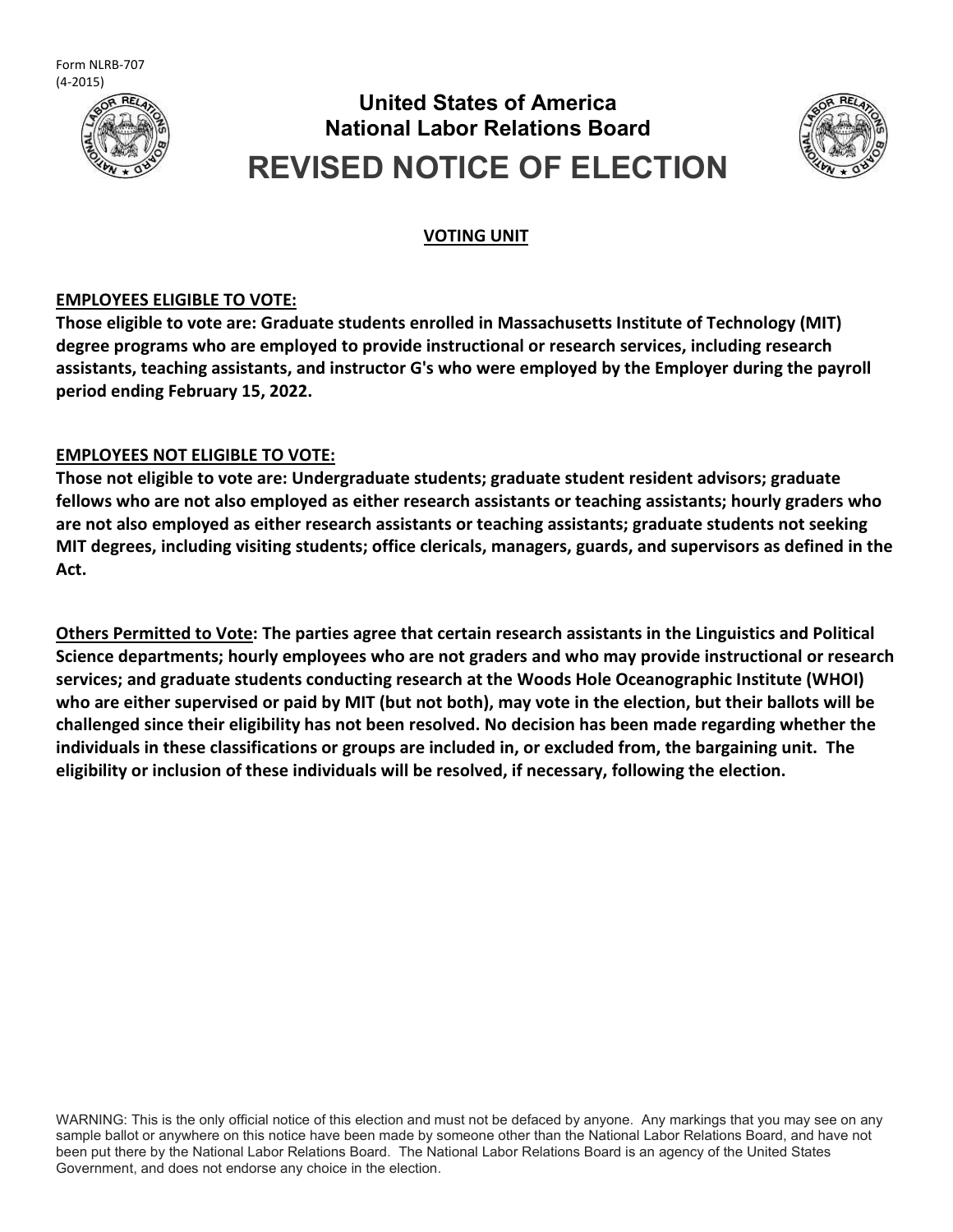Form NLRB-707 (4-2015)



# **United States of America National Labor Relations Board REVISED NOTICE OF ELECTION**



### **VOTING UNIT**

### **EMPLOYEES ELIGIBLE TO VOTE:**

**Those eligible to vote are: Graduate students enrolled in Massachusetts Institute of Technology (MIT) degree programs who are employed to provide instructional or research services, including research assistants, teaching assistants, and instructor G's who were employed by the Employer during the payroll period ending February 15, 2022.**

### **EMPLOYEES NOT ELIGIBLE TO VOTE:**

**Those not eligible to vote are: Undergraduate students; graduate student resident advisors; graduate fellows who are not also employed as either research assistants or teaching assistants; hourly graders who are not also employed as either research assistants or teaching assistants; graduate students not seeking MIT degrees, including visiting students; office clericals, managers, guards, and supervisors as defined in the Act.**

**Others Permitted to Vote: The parties agree that certain research assistants in the Linguistics and Political Science departments; hourly employees who are not graders and who may provide instructional or research services; and graduate students conducting research at the Woods Hole Oceanographic Institute (WHOI) who are either supervised or paid by MIT (but not both), may vote in the election, but their ballots will be challenged since their eligibility has not been resolved. No decision has been made regarding whether the individuals in these classifications or groups are included in, or excluded from, the bargaining unit. The eligibility or inclusion of these individuals will be resolved, if necessary, following the election.**

WARNING: This is the only official notice of this election and must not be defaced by anyone. Any markings that you may see on any sample ballot or anywhere on this notice have been made by someone other than the National Labor Relations Board, and have not been put there by the National Labor Relations Board. The National Labor Relations Board is an agency of the United States Government, and does not endorse any choice in the election.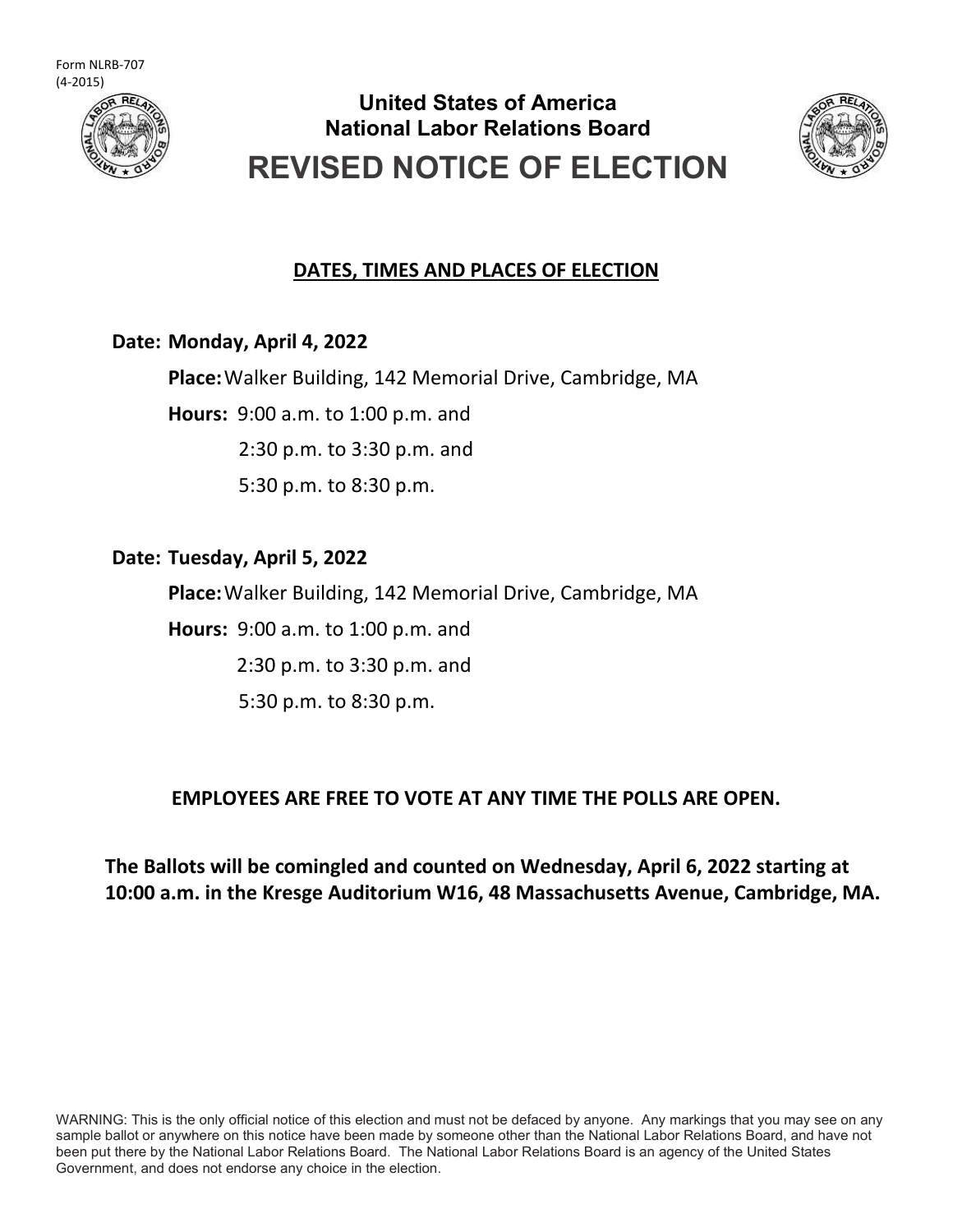

# **United States of America National Labor Relations Board REVISED NOTICE OF ELECTION**



## **DATES, TIMES AND PLACES OF ELECTION**

## **Date: Monday, April 4, 2022**

**Place:**Walker Building, 142 Memorial Drive, Cambridge, MA

**Hours:** 9:00 a.m. to 1:00 p.m. and

2:30 p.m. to 3:30 p.m. and

5:30 p.m. to 8:30 p.m.

## **Date: Tuesday, April 5, 2022**

**Place:**Walker Building, 142 Memorial Drive, Cambridge, MA

**Hours:** 9:00 a.m. to 1:00 p.m. and

2:30 p.m. to 3:30 p.m. and

5:30 p.m. to 8:30 p.m.

## **EMPLOYEES ARE FREE TO VOTE AT ANY TIME THE POLLS ARE OPEN.**

## **The Ballots will be comingled and counted on Wednesday, April 6, 2022 starting at 10:00 a.m. in the Kresge Auditorium W16, 48 Massachusetts Avenue, Cambridge, MA.**

WARNING: This is the only official notice of this election and must not be defaced by anyone. Any markings that you may see on any sample ballot or anywhere on this notice have been made by someone other than the National Labor Relations Board, and have not been put there by the National Labor Relations Board. The National Labor Relations Board is an agency of the United States Government, and does not endorse any choice in the election.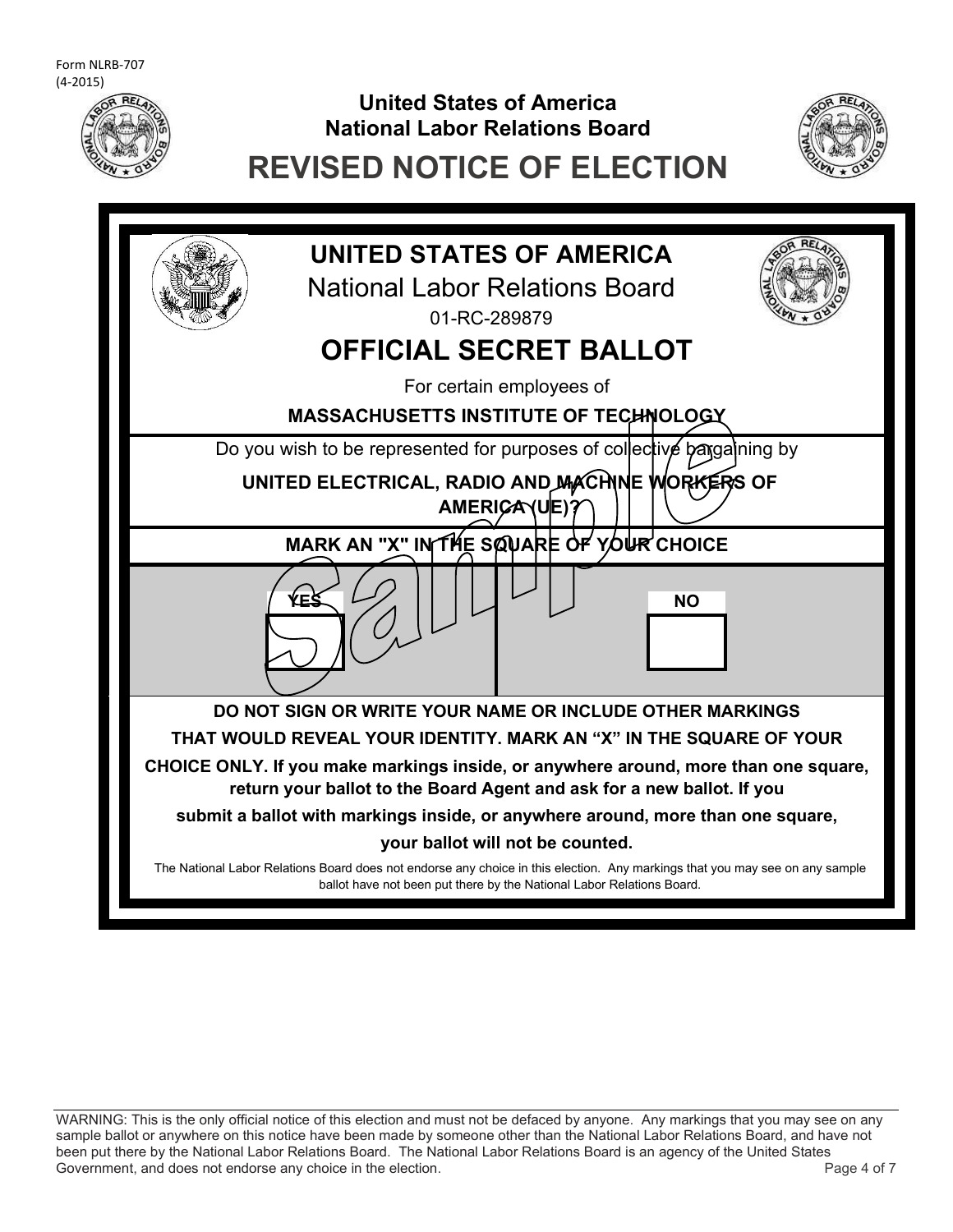

# **United States of America National Labor Relations Board**



# **REVISED NOTICE OF ELECTION**



WARNING: This is the only official notice of this election and must not be defaced by anyone. Any markings that you may see on any sample ballot or anywhere on this notice have been made by someone other than the National Labor Relations Board, and have not been put there by the National Labor Relations Board. The National Labor Relations Board is an agency of the United States Government, and does not endorse any choice in the election.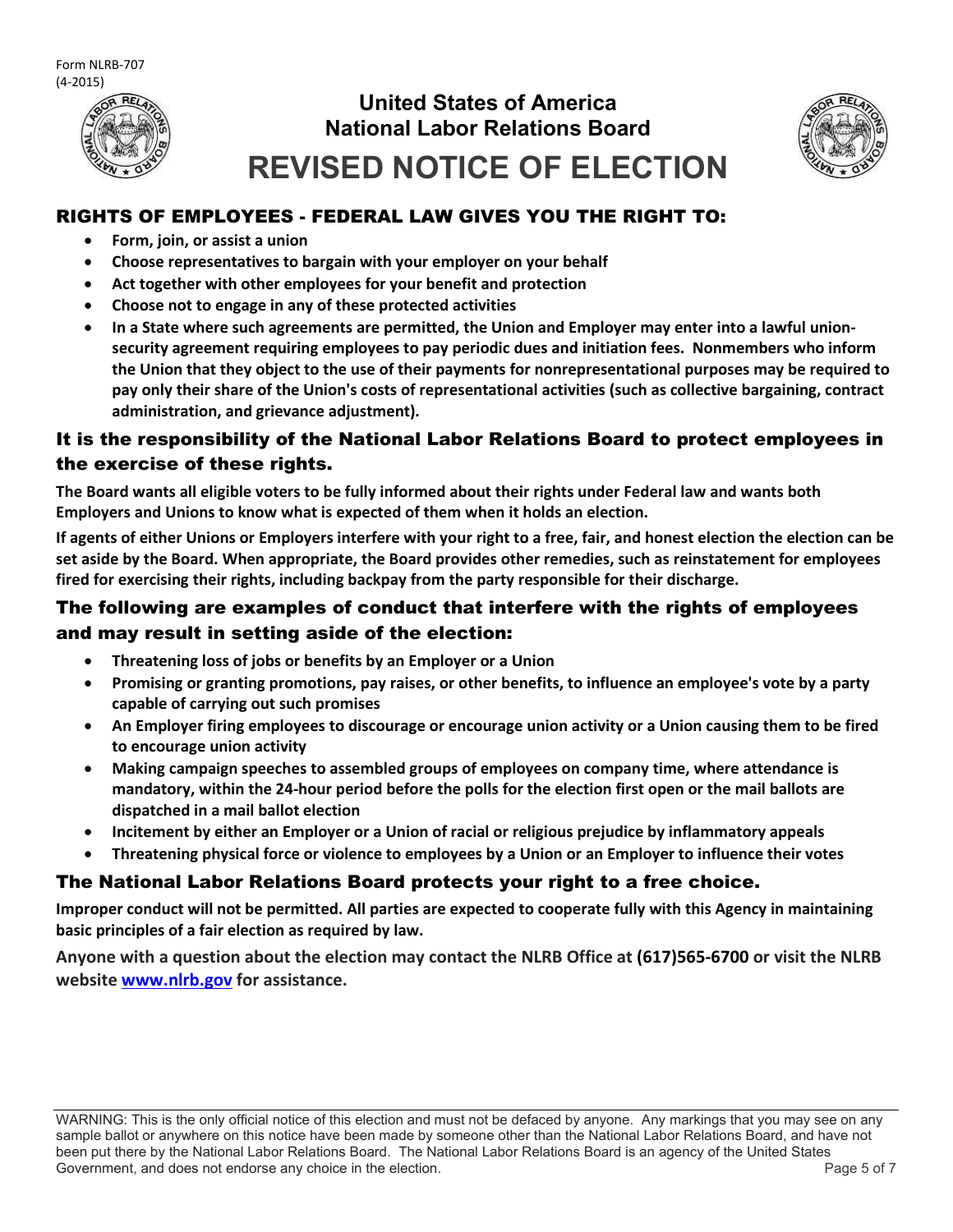

# **United States of America National Labor Relations Board REVISED NOTICE OF ELECTION**



### RIGHTS OF EMPLOYEES - FEDERAL LAW GIVES YOU THE RIGHT TO:

- **Form, join, or assist a union**
- **Choose representatives to bargain with your employer on your behalf**
- **Act together with other employees for your benefit and protection**
- **Choose not to engage in any of these protected activities**
- **In a State where such agreements are permitted, the Union and Employer may enter into a lawful unionsecurity agreement requiring employees to pay periodic dues and initiation fees. Nonmembers who inform the Union that they object to the use of their payments for nonrepresentational purposes may be required to pay only their share of the Union's costs of representational activities (such as collective bargaining, contract administration, and grievance adjustment)***.*

### It is the responsibility of the National Labor Relations Board to protect employees in the exercise of these rights.

**The Board wants all eligible voters to be fully informed about their rights under Federal law and wants both Employers and Unions to know what is expected of them when it holds an election.**

**If agents of either Unions or Employers interfere with your right to a free, fair, and honest election the election can be set aside by the Board. When appropriate, the Board provides other remedies, such as reinstatement for employees fired for exercising their rights, including backpay from the party responsible for their discharge.**

### The following are examples of conduct that interfere with the rights of employees and may result in setting aside of the election:

- **Threatening loss of jobs or benefits by an Employer or a Union**
- **Promising or granting promotions, pay raises, or other benefits, to influence an employee's vote by a party capable of carrying out such promises**
- **An Employer firing employees to discourage or encourage union activity or a Union causing them to be fired to encourage union activity**
- **Making campaign speeches to assembled groups of employees on company time, where attendance is mandatory, within the 24-hour period before the polls for the election first open or the mail ballots are dispatched in a mail ballot election**
- **Incitement by either an Employer or a Union of racial or religious prejudice by inflammatory appeals**
- **Threatening physical force or violence to employees by a Union or an Employer to influence their votes**

### The National Labor Relations Board protects your right to a free choice.

**Improper conduct will not be permitted. All parties are expected to cooperate fully with this Agency in maintaining basic principles of a fair election as required by law.**

**Anyone with a question about the election may contact the NLRB Office at (617)565-6700 or visit the NLRB website [www.nlrb.gov](http://www.nlrb.gov/) for assistance.**

WARNING: This is the only official notice of this election and must not be defaced by anyone. Any markings that you may see on any sample ballot or anywhere on this notice have been made by someone other than the National Labor Relations Board, and have not been put there by the National Labor Relations Board. The National Labor Relations Board is an agency of the United States Government, and does not endorse any choice in the election. The endorse and the state of 7 and 7 and 7 and 7 and 7 and 7 and 7 and 7 and 7 and 7 and 7 and 7 and 7 and 7 and 7 and 7 and 7 and 7 and 7 and 7 and 7 and 7 and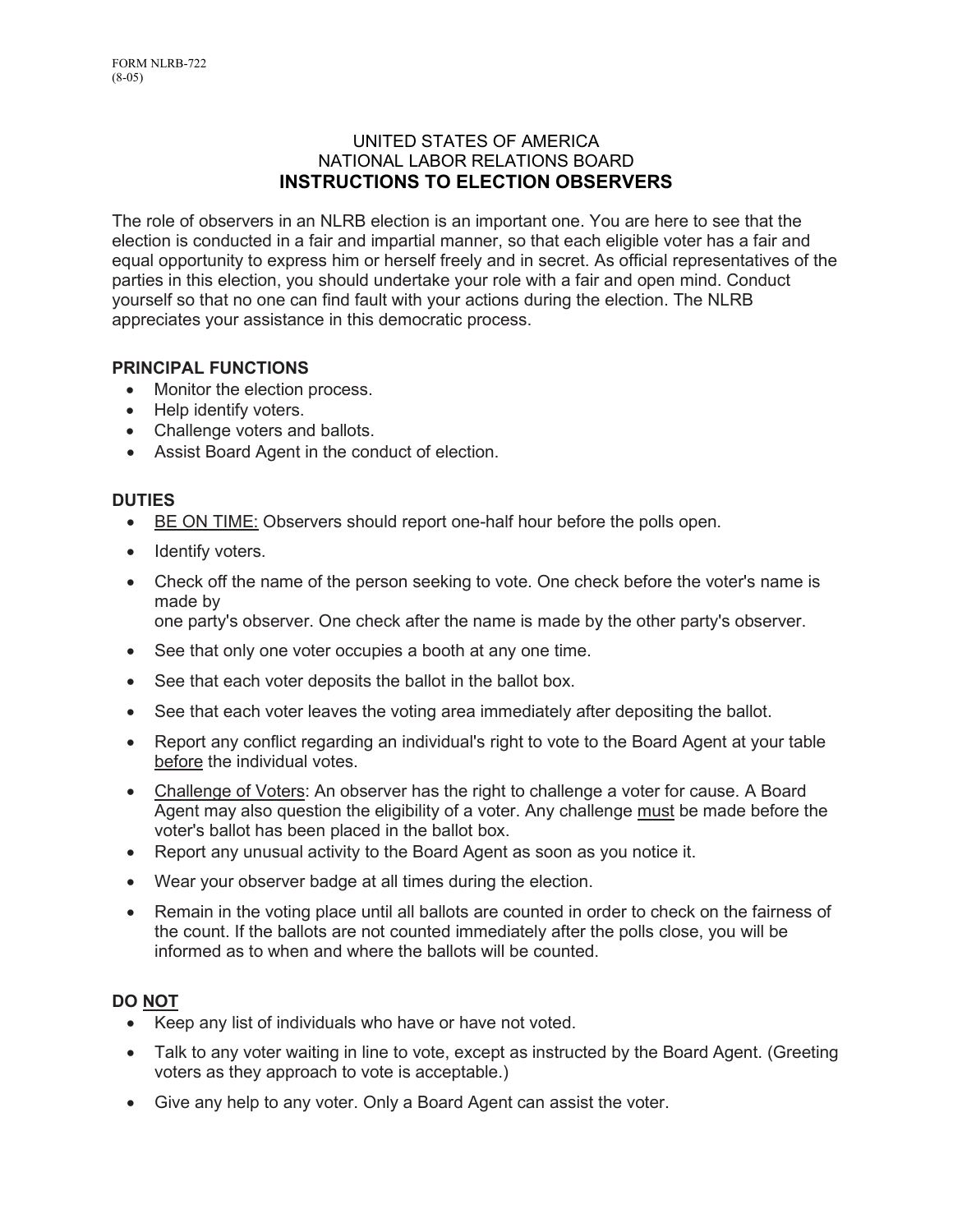### UNITED STATES OF AMERICA NATIONAL LABOR RELATIONS BOARD **INSTRUCTIONS TO ELECTION OBSERVERS**

The role of observers in an NLRB election is an important one. You are here to see that the election is conducted in a fair and impartial manner, so that each eligible voter has a fair and equal opportunity to express him or herself freely and in secret. As official representatives of the parties in this election, you should undertake your role with a fair and open mind. Conduct yourself so that no one can find fault with your actions during the election. The NLRB appreciates your assistance in this democratic process.

### **PRINCIPAL FUNCTIONS**

- Monitor the election process.
- Help identify voters.
- Challenge voters and ballots.
- Assist Board Agent in the conduct of election.

### **DUTIES**

- BE ON TIME: Observers should report one-half hour before the polls open.
- Identify voters.
- Check off the name of the person seeking to vote. One check before the voter's name is made by

one party's observer. One check after the name is made by the other party's observer.

- See that only one voter occupies a booth at any one time.
- See that each voter deposits the ballot in the ballot box.
- See that each voter leaves the voting area immediately after depositing the ballot.
- Report any conflict regarding an individual's right to vote to the Board Agent at your table before the individual votes.
- Challenge of Voters: An observer has the right to challenge a voter for cause. A Board Agent may also question the eligibility of a voter. Any challenge must be made before the voter's ballot has been placed in the ballot box.
- Report any unusual activity to the Board Agent as soon as you notice it.
- Wear your observer badge at all times during the election.
- Remain in the voting place until all ballots are counted in order to check on the fairness of the count. If the ballots are not counted immediately after the polls close, you will be informed as to when and where the ballots will be counted.

#### **DO NOT**

- Keep any list of individuals who have or have not voted.
- Talk to any voter waiting in line to vote, except as instructed by the Board Agent. (Greeting voters as they approach to vote is acceptable.)
- Give any help to any voter. Only a Board Agent can assist the voter.